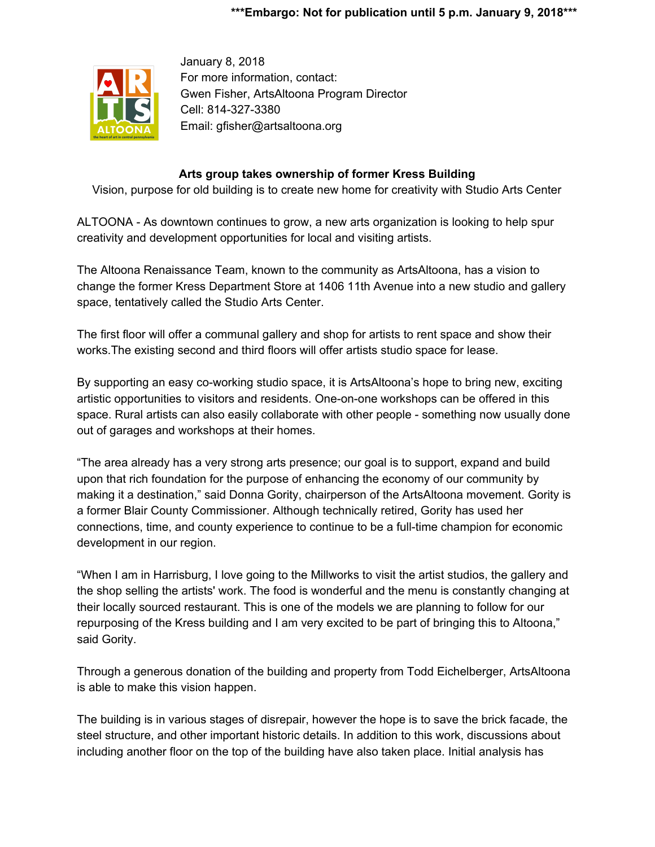

January 8, 2018 For more information, contact: Gwen Fisher, ArtsAltoona Program Director Cell: 814-327-3380 Email: gfisher@artsaltoona.org

## **Arts group takes ownership of former Kress Building**

Vision, purpose for old building is to create new home for creativity with Studio Arts Center

ALTOONA - As downtown continues to grow, a new arts organization is looking to help spur creativity and development opportunities for local and visiting artists.

The Altoona Renaissance Team, known to the community as ArtsAltoona, has a vision to change the former Kress Department Store at 1406 11th Avenue into a new studio and gallery space, tentatively called the Studio Arts Center.

The first floor will offer a communal gallery and shop for artists to rent space and show their works.The existing second and third floors will offer artists studio space for lease.

By supporting an easy co-working studio space, it is ArtsAltoona's hope to bring new, exciting artistic opportunities to visitors and residents. One-on-one workshops can be offered in this space. Rural artists can also easily collaborate with other people - something now usually done out of garages and workshops at their homes.

"The area already has a very strong arts presence; our goal is to support, expand and build upon that rich foundation for the purpose of enhancing the economy of our community by making it a destination," said Donna Gority, chairperson of the ArtsAltoona movement. Gority is a former Blair County Commissioner. Although technically retired, Gority has used her connections, time, and county experience to continue to be a full-time champion for economic development in our region.

"When I am in Harrisburg, I love going to the Millworks to visit the artist studios, the gallery and the shop selling the artists' work. The food is wonderful and the menu is constantly changing at their locally sourced restaurant. This is one of the models we are planning to follow for our repurposing of the Kress building and I am very excited to be part of bringing this to Altoona," said Gority.

Through a generous donation of the building and property from Todd Eichelberger, ArtsAltoona is able to make this vision happen.

The building is in various stages of disrepair, however the hope is to save the brick facade, the steel structure, and other important historic details. In addition to this work, discussions about including another floor on the top of the building have also taken place. Initial analysis has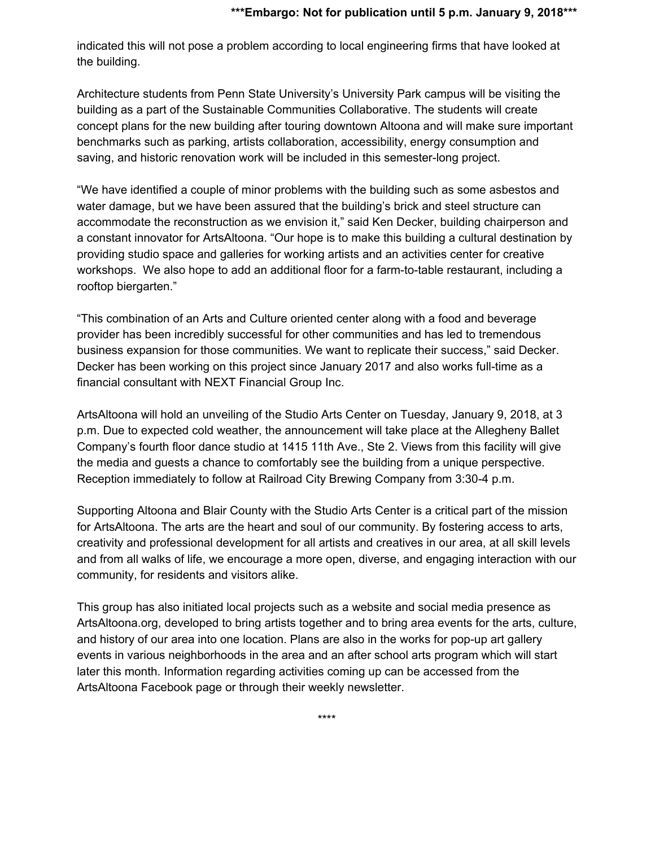indicated this will not pose a problem according to local engineering firms that have looked at the building.

Architecture students from Penn State University's University Park campus will be visiting the building as a part of the Sustainable Communities Collaborative. The students will create concept plans for the new building after touring downtown Altoona and will make sure important benchmarks such as parking, artists collaboration, accessibility, energy consumption and saving, and historic renovation work will be included in this semester-long project.

"We have identified a couple of minor problems with the building such as some asbestos and water damage, but we have been assured that the building's brick and steel structure can accommodate the reconstruction as we envision it," said Ken Decker, building chairperson and a constant innovator for ArtsAltoona. "Our hope is to make this building a cultural destination by providing studio space and galleries for working artists and an activities center for creative workshops. We also hope to add an additional floor for a farm-to-table restaurant, including a rooftop biergarten."

"This combination of an Arts and Culture oriented center along with a food and beverage provider has been incredibly successful for other communities and has led to tremendous business expansion for those communities. We want to replicate their success," said Decker. Decker has been working on this project since January 2017 and also works full-time as a financial consultant with NEXT Financial Group Inc.

ArtsAltoona will hold an unveiling of the Studio Arts Center on Tuesday, January 9, 2018, at 3 p.m. Due to expected cold weather, the announcement will take place at the Allegheny Ballet Company's fourth floor dance studio at 1415 11th Ave., Ste 2. Views from this facility will give the media and guests a chance to comfortably see the building from a unique perspective. Reception immediately to follow at Railroad City Brewing Company from 3:30-4 p.m.

Supporting Altoona and Blair County with the Studio Arts Center is a critical part of the mission for ArtsAltoona. The arts are the heart and soul of our community. By fostering access to arts, creativity and professional development for all artists and creatives in our area, at all skill levels and from all walks of life, we encourage a more open, diverse, and engaging interaction with our community, for residents and visitors alike.

This group has also initiated local projects such as a website and social media presence as ArtsAltoona.org, developed to bring artists together and to bring area events for the arts, culture, and history of our area into one location. Plans are also in the works for pop-up art gallery events in various neighborhoods in the area and an after school arts program which will start later this month. Information regarding activities coming up can be accessed from the ArtsAltoona Facebook page or through their weekly newsletter.

\*\*\*\*